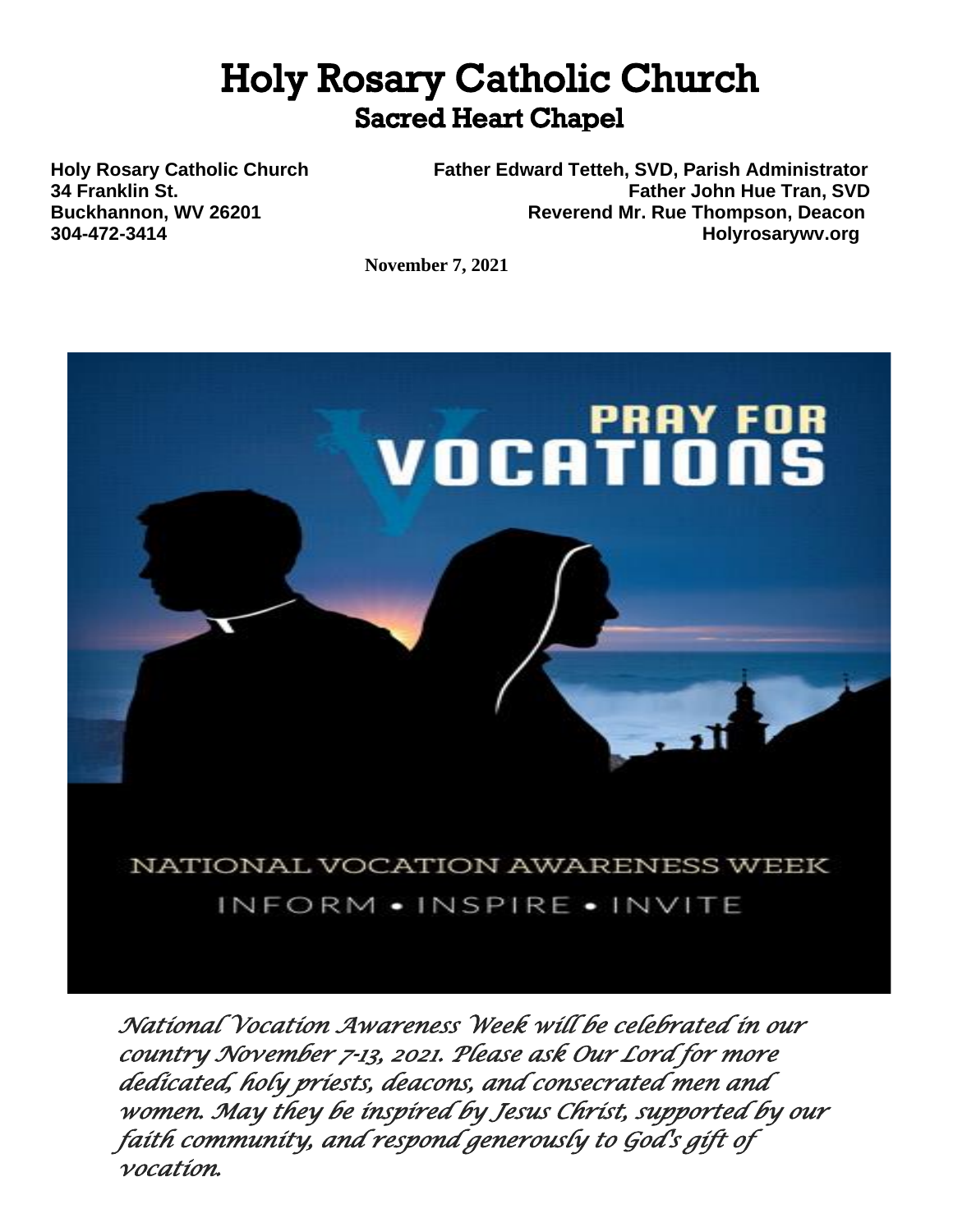# **Holy Rosary Catholic Church Sacred Heart Chapel**

**Holy Rosary Catholic Church Father Edward Tetteh, SVD, Parish Administrator 34 Franklin St. Father John Hue Tran, SVD Buckhannon, WV 26201 Reverend Mr. Rue Thompson, Deacon 304-472-3414 Holyrosarywv.org**

**November 7, 2021**



*country November 7-13, 2021. Please ask Our Lord for more dedicated, holy priests, deacons, and consecrated men and women. May they be inspired by Jesus Christ, supported by our faith community, and respond generously to God's gift of vocation.*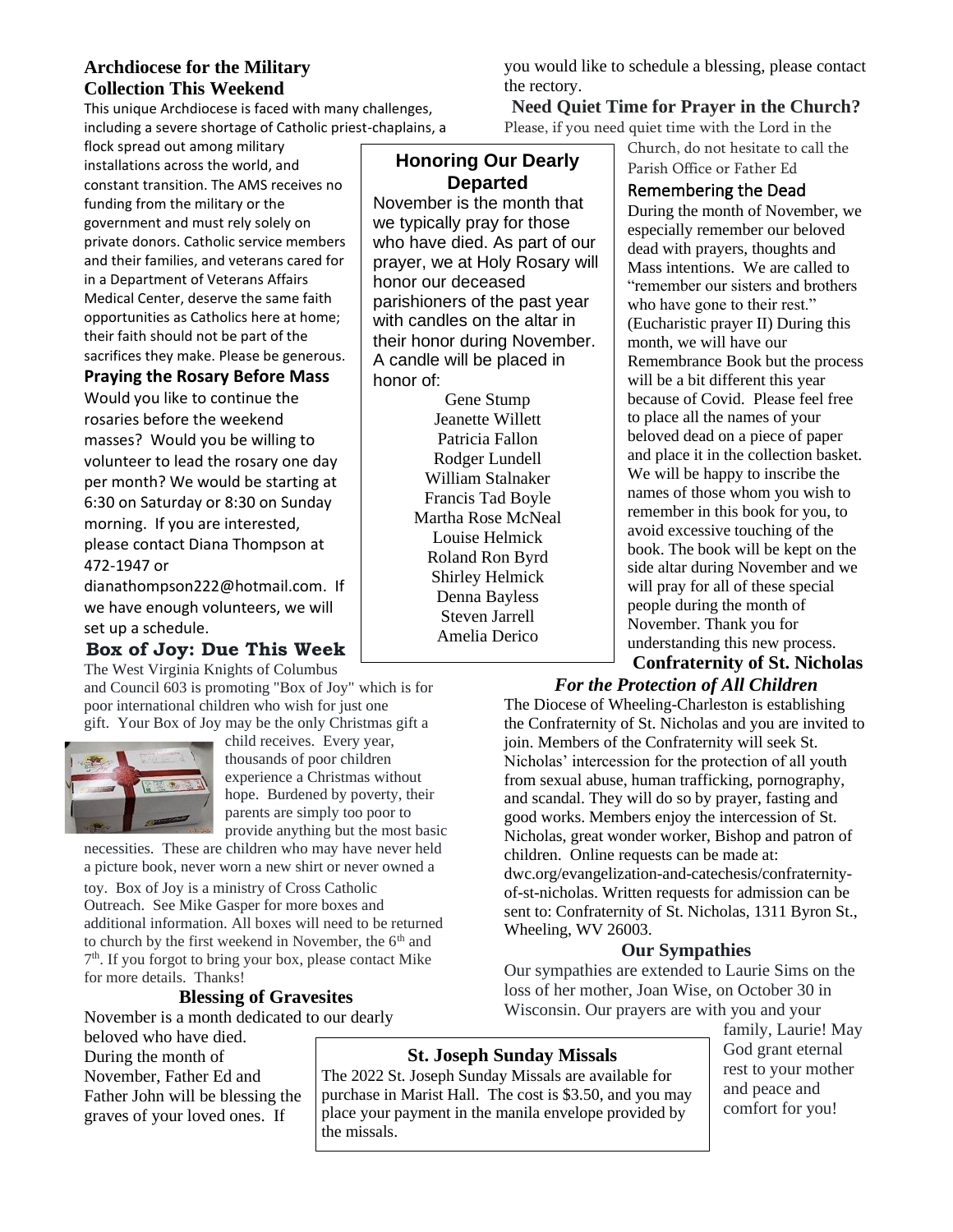# **Archdiocese for the Military Collection This Weekend**

This unique Archdiocese is faced with many challenges, including a severe shortage of Catholic priest-chaplains, a

flock spread out among military installations across the world, and constant transition. The AMS receives no funding from the military or the government and must rely solely on private donors. Catholic service members and their families, and veterans cared for in a Department of Veterans Affairs Medical Center, deserve the same faith opportunities as Catholics here at home; their faith should not be part of the sacrifices they make. Please be generous.

## **Praying the Rosary Before Mass**

Would you like to continue the rosaries before the weekend masses? Would you be willing to volunteer to lead the rosary one day per month? We would be starting at 6:30 on Saturday or 8:30 on Sunday morning. If you are interested, please contact Diana Thompson at 472-1947 or

dianathompson222@hotmail.com. If we have enough volunteers, we will set up a schedule.

# **Box of Joy: Due This Week**

The West Virginia Knights of Columbus

and Council 603 is promoting "Box of Joy" which is for poor international children who wish for just one gift. Your Box of Joy may be the only Christmas gift a



child receives. Every year, thousands of poor children experience a Christmas without hope. Burdened by poverty, their parents are simply too poor to provide anything but the most basic

necessities. These are children who may have never held a picture book, never worn a new shirt or never owned a

toy. Box of Joy is a ministry of Cross Catholic Outreach. See Mike Gasper for more boxes and additional information. All boxes will need to be returned to church by the first weekend in November, the 6<sup>th</sup> and 7<sup>th</sup>. If you forgot to bring your box, please contact Mike for more details. Thanks!

# **Blessing of Gravesites**

November is a month dedicated to our dearly

beloved who have died. During the month of November, Father Ed and Father John will be blessing the graves of your loved ones. If

# **Honoring Our Dearly Departed**

November is the month that we typically pray for those who have died. As part of our prayer, we at Holy Rosary will honor our deceased parishioners of the past year with candles on the altar in their honor during November. A candle will be placed in honor of:

Gene Stump Jeanette Willett Patricia Fallon Rodger Lundell William Stalnaker Francis Tad Boyle Martha Rose McNeal Louise Helmick Roland Ron Byrd Shirley Helmick Denna Bayless Steven Jarrell Amelia Derico

you would like to schedule a blessing, please contact the rectory.

## **Need Quiet Time for Prayer in the Church?** Please, if you need quiet time with the Lord in the

Church, do not hesitate to call the Parish Office or Father Ed

# Remembering the Dead

During the month of November, we especially remember our beloved dead with prayers, thoughts and Mass intentions. We are called to "remember our sisters and brothers who have gone to their rest." (Eucharistic prayer II) During this month, we will have our Remembrance Book but the process will be a bit different this year because of Covid. Please feel free to place all the names of your beloved dead on a piece of paper and place it in the collection basket. We will be happy to inscribe the names of those whom you wish to remember in this book for you, to avoid excessive touching of the book. The book will be kept on the side altar during November and we will pray for all of these special people during the month of November. Thank you for understanding this new process.

#### **Confraternity of St. Nicholas** *For the Protection of All Children*

The Diocese of Wheeling-Charleston is establishing the Confraternity of St. Nicholas and you are invited to join. Members of the Confraternity will seek St. Nicholas' intercession for the protection of all youth from sexual abuse, human trafficking, pornography, and scandal. They will do so by prayer, fasting and good works. Members enjoy the intercession of St. Nicholas, great wonder worker, Bishop and patron of children. Online requests can be made at: dwc.org/evangelization-and-catechesis/confraternityof-st-nicholas. Written requests for admission can be sent to: Confraternity of St. Nicholas, 1311 Byron St., Wheeling, WV 26003.

## **Our Sympathies**

Our sympathies are extended to Laurie Sims on the loss of her mother, Joan Wise, on October 30 in Wisconsin. Our prayers are with you and your

family, Laurie! May God grant eternal rest to your mother and peace and comfort for you!

# **St. Joseph Sunday Missals**

The 2022 St. Joseph Sunday Missals are available for purchase in Marist Hall. The cost is \$3.50, and you may place your payment in the manila envelope provided by the missals.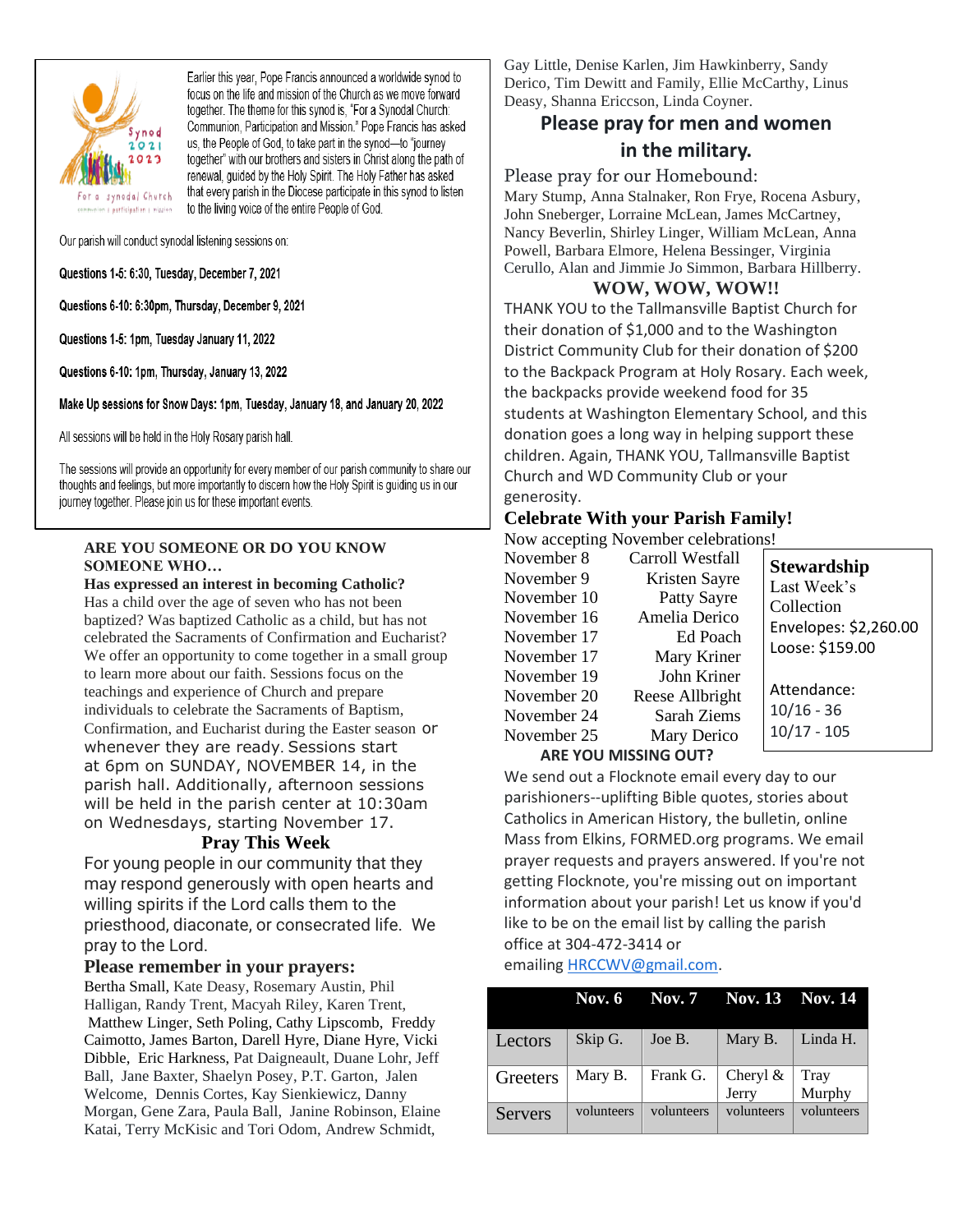

Earlier this year, Pope Francis announced a worldwide synod to focus on the life and mission of the Church as we move forward together. The theme for this synod is, "For a Synodal Church: Communion, Participation and Mission." Pope Francis has asked us, the People of God, to take part in the synod-to "journey together" with our brothers and sisters in Christ along the path of renewal, guided by the Holy Spirit. The Holy Father has asked that every parish in the Diocese participate in this synod to listen to the living voice of the entire People of God.

Our parish will conduct synodal listening sessions on:

#### Questions 1-5: 6:30, Tuesday, December 7, 2021

Questions 6-10: 6:30pm, Thursday, December 9, 2021

Questions 1-5: 1pm, Tuesday January 11, 2022

Questions 6-10: 1pm, Thursday, January 13, 2022

Make Up sessions for Snow Days: 1pm, Tuesday, January 18, and January 20, 2022

All sessions will be held in the Holy Rosary parish hall.

The sessions will provide an opportunity for every member of our parish community to share our thoughts and feelings, but more importantly to discern how the Holy Spirit is guiding us in our journey together. Please join us for these important events.

#### **ARE YOU SOMEONE OR DO YOU KNOW SOMEONE WHO…**

#### **Has expressed an interest in becoming Catholic?**

Has a child over the age of seven who has not been baptized? Was baptized Catholic as a child, but has not celebrated the Sacraments of Confirmation and Eucharist? We offer an opportunity to come together in a small group to learn more about our faith. Sessions focus on the teachings and experience of Church and prepare individuals to celebrate the Sacraments of Baptism, Confirmation, and Eucharist during the Easter season or whenever they are ready. Sessions start at 6pm on SUNDAY, NOVEMBER 14, in the parish hall. Additionally, afternoon sessions will be held in the parish center at 10:30am on Wednesdays, starting November 17.

#### **Pray This Week**

For young people in our community that they may respond generously with open hearts and willing spirits if the Lord calls them to the priesthood, diaconate, or consecrated life. We pray to the Lord.

#### **Please remember in your prayers:**

Bertha Small, Kate Deasy, Rosemary Austin, Phil Halligan, Randy Trent, Macyah Riley, Karen Trent, Matthew Linger, Seth Poling, Cathy Lipscomb, Freddy Caimotto, James Barton, Darell Hyre, Diane Hyre, Vicki Dibble, Eric Harkness, Pat Daigneault, Duane Lohr, Jeff Ball, Jane Baxter, Shaelyn Posey, P.T. Garton, Jalen Welcome, Dennis Cortes, Kay Sienkiewicz, Danny Morgan, Gene Zara, Paula Ball, Janine Robinson, Elaine Katai, Terry McKisic and Tori Odom, Andrew Schmidt,

Gay Little, Denise Karlen, Jim Hawkinberry, Sandy Derico, Tim Dewitt and Family, Ellie McCarthy, Linus Deasy, Shanna Ericcson, Linda Coyner.

# **Please pray for men and women in the military.**

Please pray for our Homebound:

Mary Stump, Anna Stalnaker, Ron Frye, Rocena Asbury, John Sneberger, Lorraine McLean, James McCartney, Nancy Beverlin, Shirley Linger, William McLean, Anna Powell, Barbara Elmore, Helena Bessinger, Virginia Cerullo, Alan and Jimmie Jo Simmon, Barbara Hillberry.

#### **WOW, WOW, WOW!!**

THANK YOU to the Tallmansville Baptist Church for their donation of \$1,000 and to the Washington District Community Club for their donation of \$200 to the Backpack Program at Holy Rosary. Each week, the backpacks provide weekend food for 35 students at Washington Elementary School, and this donation goes a long way in helping support these children. Again, THANK YOU, Tallmansville Baptist Church and WD Community Club or your generosity.

## **Celebrate With your Parish Family!**

Now accepting November celebrations!

| November 8                  | Carroll Westfall | <b>Stewardship</b>    |
|-----------------------------|------------------|-----------------------|
| November 9                  | Kristen Sayre    | Last Week's           |
| November 10                 | Patty Sayre      | Collection            |
| November 16                 | Amelia Derico    | Envelopes: \$2,260.00 |
| November 17                 | Ed Poach         | Loose: \$159.00       |
| November 17                 | Mary Kriner      |                       |
| November 19                 | John Kriner      |                       |
| November 20                 | Reese Allbright  | Attendance:           |
| November 24                 | Sarah Ziems      | $10/16 - 36$          |
| November 25                 | Mary Derico      | $10/17 - 105$         |
| <b>ARE YOU MISSING OUT?</b> |                  |                       |

We send out a Flocknote email every day to our parishioners--uplifting Bible quotes, stories about Catholics in American History, the bulletin, online Mass from Elkins, FORMED.org programs. We email prayer requests and prayers answered. If you're not getting Flocknote, you're missing out on important information about your parish! Let us know if you'd like to be on the email list by calling the parish office at 304-472-3414 or

emailing **HRCCWV@gmail.com**.

|                |            | Nov. 6 Nov. 7 Nov. 13 Nov. 14 |                   |                |
|----------------|------------|-------------------------------|-------------------|----------------|
| Lectors        | Skip G.    | Joe B.                        | Mary B.           | Linda H.       |
| Greeters       | Mary B.    | Frank G.                      | Cheryl &<br>Jerry | Tray<br>Murphy |
| <b>Servers</b> | volunteers | volunteers                    | volunteers        | volunteers     |